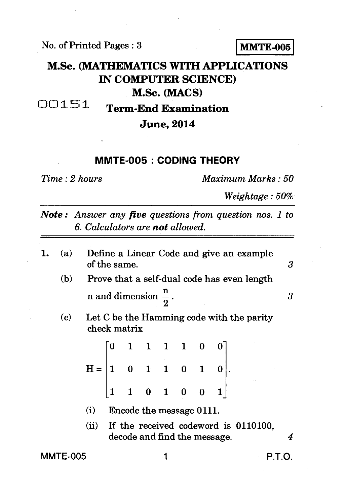No. of Printed Pages : 3 **MMTE-005** 

## **M.Sc. (MATHEMATICS WITH APPLICATIONS IN COMPUTER SCIENCE)**

**M.Sc. (MACS)** 

**0 0 :1. !:\*5 1 Term-End Examination** 

## **June, 2014**

## **MMTE-005 : CODING THEORY**

*Time : 2 hours Maximum Marks : 50* 

*Weightage : 50%* 

*Note : Answer any five questions from question nos. 1 to 6. Calculators are not allowed.* 

- 1.  $(a)$ Define a Linear Code and give an example of the same. *3*  Prove that a self-dual code has even length  $(b)$ n and dimension  $\frac{\pi}{2}$ .  $\frac{\text{m}}{2}$ . 3
	- Let C be the Hamming code with the parity  $(c)$ check matrix

| $H = \begin{bmatrix} 0 & 1 & 1 & 1 & 1 & 0 & 0 \\ 1 & 0 & 1 & 1 & 0 & 1 & 0 \\ 1 & 1 & 0 & 1 & 0 & 0 & 1 \end{bmatrix}.$ |  |  |  |  |  |  |  |  |
|--------------------------------------------------------------------------------------------------------------------------|--|--|--|--|--|--|--|--|
|                                                                                                                          |  |  |  |  |  |  |  |  |

- (i) Encode the message 0111.
- (ii) If the received codeword is 0110100, decode and find the message. *4*

MMTE-005 1 P.T.O.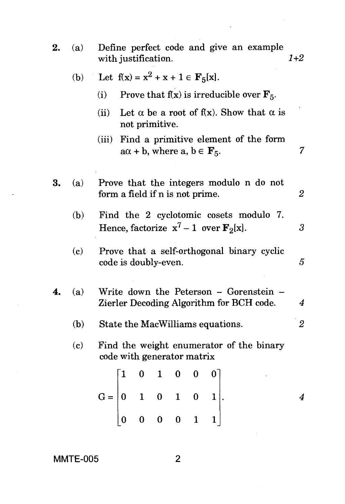| 2. | (a) | Define perfect code and give an example<br>with justification.                                                                                  | $1 + 2$        |  |  |  |  |
|----|-----|-------------------------------------------------------------------------------------------------------------------------------------------------|----------------|--|--|--|--|
|    |     | (b) Let $f(x) = x^2 + x + 1 \in F_5[x]$ .                                                                                                       |                |  |  |  |  |
|    |     | Prove that $f(x)$ is irreducible over $F_5$ .<br>(i)                                                                                            |                |  |  |  |  |
|    |     | Let $\alpha$ be a root of f(x). Show that $\alpha$ is<br>(ii)<br>not primitive.                                                                 |                |  |  |  |  |
|    |     | (iii) Find a primitive element of the form<br>$a\alpha + b$ , where $a, b \in \mathbf{F}_5$ .                                                   | 7              |  |  |  |  |
| 3. | (a) | Prove that the integers modulo n do not<br>form a field if n is not prime.                                                                      | 2              |  |  |  |  |
|    | (b) | Find the 2 cyclotomic cosets modulo 7.<br>Hence, factorize $x^7 - 1$ over $F_2[x]$ .                                                            | $\mathfrak{z}$ |  |  |  |  |
|    | (c) | Prove that a self-orthogonal binary cyclic<br>code is doubly-even.                                                                              | $\overline{5}$ |  |  |  |  |
|    | (a) | Write down the Peterson - Gorenstein -<br>Zierler Decoding Algorithm for BCH code.                                                              | 4              |  |  |  |  |
|    | (b) | State the MacWilliams equations.                                                                                                                | $\overline{2}$ |  |  |  |  |
|    | (c) | Find the weight enumerator of the binary<br>code with generator matrix                                                                          |                |  |  |  |  |
|    |     |                                                                                                                                                 |                |  |  |  |  |
|    |     | $\mathbf{G} = \begin{bmatrix} 1 & 0 & 1 & 0 & 0 & 0 \\ & & & & & \\ 0 & 1 & 0 & 1 & 0 & 1 \\ & & & & & \\ 0 & 0 & 0 & 0 & 1 & 1 \end{bmatrix}.$ | 4              |  |  |  |  |
|    |     |                                                                                                                                                 |                |  |  |  |  |

 $\sim$   $\sim$ 

 $\bar{\mathbf{v}}$